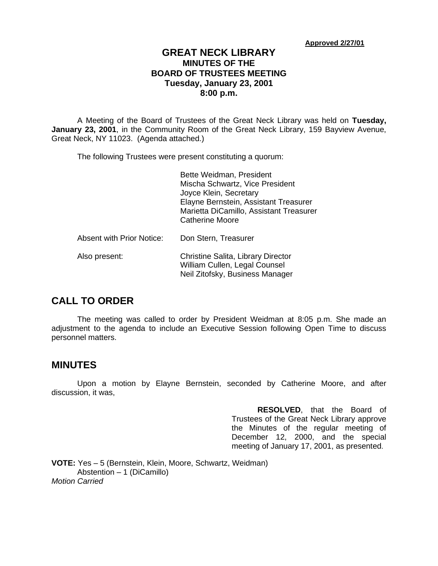**Approved 2/27/01**

### **GREAT NECK LIBRARY MINUTES OF THE BOARD OF TRUSTEES MEETING Tuesday, January 23, 2001 8:00 p.m.**

A Meeting of the Board of Trustees of the Great Neck Library was held on **Tuesday, January 23, 2001**, in the Community Room of the Great Neck Library, 159 Bayview Avenue, Great Neck, NY 11023. (Agenda attached.)

The following Trustees were present constituting a quorum:

|                                  | Bette Weidman, President<br>Mischa Schwartz, Vice President<br>Joyce Klein, Secretary<br>Elayne Bernstein, Assistant Treasurer<br>Marietta DiCamillo, Assistant Treasurer<br><b>Catherine Moore</b> |
|----------------------------------|-----------------------------------------------------------------------------------------------------------------------------------------------------------------------------------------------------|
| <b>Absent with Prior Notice:</b> | Don Stern, Treasurer                                                                                                                                                                                |
| Also present:                    | Christine Salita, Library Director<br>William Cullen, Legal Counsel<br>Neil Zitofsky, Business Manager                                                                                              |

### **CALL TO ORDER**

The meeting was called to order by President Weidman at 8:05 p.m. She made an adjustment to the agenda to include an Executive Session following Open Time to discuss personnel matters.

### **MINUTES**

Upon a motion by Elayne Bernstein, seconded by Catherine Moore, and after discussion, it was,

> **RESOLVED**, that the Board of Trustees of the Great Neck Library approve the Minutes of the regular meeting of December 12, 2000, and the special meeting of January 17, 2001, as presented.

**VOTE:** Yes – 5 (Bernstein, Klein, Moore, Schwartz, Weidman) Abstention – 1 (DiCamillo) *Motion Carried*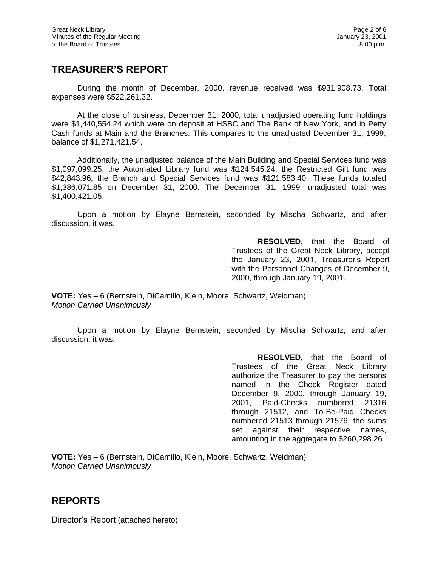## **TREASURER'S REPORT**

During the month of December, 2000, revenue received was \$931,908.73. Total expenses were \$522,261.32.

At the close of business, December 31, 2000, total unadjusted operating fund holdings were \$1,440,554.24 which were on deposit at HSBC and The Bank of New York, and in Petty Cash funds at Main and the Branches. This compares to the unadjusted December 31, 1999, balance of \$1,271,421.54.

Additionally, the unadjusted balance of the Main Building and Special Services fund was \$1,097,099.25; the Automated Library fund was \$124,545.24; the Restricted Gift fund was \$42,843.96; the Branch and Special Services fund was \$121,583.40. These funds totaled \$1,386,071.85 on December 31, 2000. The December 31, 1999, unadjusted total was \$1,400,421.05.

Upon a motion by Elayne Bernstein, seconded by Mischa Schwartz, and after discussion, it was,

> **RESOLVED,** that the Board of Trustees of the Great Neck Library, accept the January 23, 2001, Treasurer's Report with the Personnel Changes of December 9, 2000, through January 19, 2001.

**VOTE:** Yes – 6 (Bernstein, DiCamillo, Klein, Moore, Schwartz, Weidman) *Motion Carried Unanimously*

Upon a motion by Elayne Bernstein, seconded by Mischa Schwartz, and after discussion, it was,

> **RESOLVED,** that the Board of Trustees of the Great Neck Library authorize the Treasurer to pay the persons named in the Check Register dated December 9, 2000, through January 19, 2001, Paid-Checks numbered 21316 through 21512, and To-Be-Paid Checks numbered 21513 through 21576, the sums set against their respective names, amounting in the aggregate to \$260,298.26

**VOTE:** Yes – 6 (Bernstein, DiCamillo, Klein, Moore, Schwartz, Weidman) *Motion Carried Unanimously*

### **REPORTS**

Director's Report (attached hereto)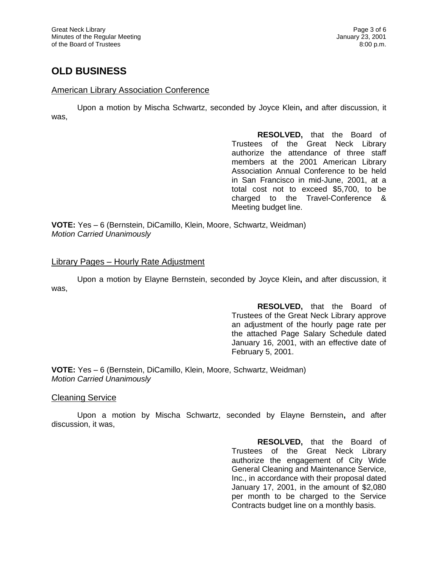# **OLD BUSINESS**

#### American Library Association Conference

Upon a motion by Mischa Schwartz, seconded by Joyce Klein**,** and after discussion, it was,

> **RESOLVED,** that the Board of Trustees of the Great Neck Library authorize the attendance of three staff members at the 2001 American Library Association Annual Conference to be held in San Francisco in mid-June, 2001, at a total cost not to exceed \$5,700, to be charged to the Travel-Conference & Meeting budget line.

**VOTE:** Yes – 6 (Bernstein, DiCamillo, Klein, Moore, Schwartz, Weidman) *Motion Carried Unanimously*

#### Library Pages – Hourly Rate Adjustment

Upon a motion by Elayne Bernstein, seconded by Joyce Klein**,** and after discussion, it was,

> **RESOLVED,** that the Board of Trustees of the Great Neck Library approve an adjustment of the hourly page rate per the attached Page Salary Schedule dated January 16, 2001, with an effective date of February 5, 2001.

**VOTE:** Yes – 6 (Bernstein, DiCamillo, Klein, Moore, Schwartz, Weidman) *Motion Carried Unanimously*

Cleaning Service

Upon a motion by Mischa Schwartz, seconded by Elayne Bernstein**,** and after discussion, it was,

> **RESOLVED,** that the Board of Trustees of the Great Neck Library authorize the engagement of City Wide General Cleaning and Maintenance Service, Inc., in accordance with their proposal dated January 17, 2001, in the amount of \$2,080 per month to be charged to the Service Contracts budget line on a monthly basis.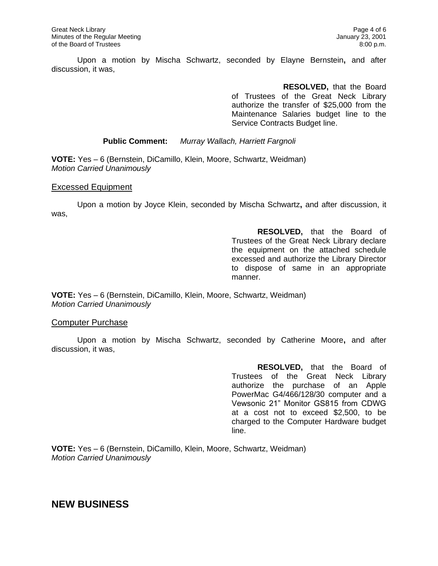Upon a motion by Mischa Schwartz, seconded by Elayne Bernstein**,** and after discussion, it was,

> **RESOLVED,** that the Board of Trustees of the Great Neck Library authorize the transfer of \$25,000 from the Maintenance Salaries budget line to the Service Contracts Budget line.

**Public Comment:** *Murray Wallach, Harriett Fargnoli*

**VOTE:** Yes – 6 (Bernstein, DiCamillo, Klein, Moore, Schwartz, Weidman) *Motion Carried Unanimously*

#### Excessed Equipment

Upon a motion by Joyce Klein, seconded by Mischa Schwartz**,** and after discussion, it was,

> **RESOLVED,** that the Board of Trustees of the Great Neck Library declare the equipment on the attached schedule excessed and authorize the Library Director to dispose of same in an appropriate manner.

**VOTE:** Yes – 6 (Bernstein, DiCamillo, Klein, Moore, Schwartz, Weidman) *Motion Carried Unanimously*

#### Computer Purchase

Upon a motion by Mischa Schwartz, seconded by Catherine Moore**,** and after discussion, it was,

> **RESOLVED,** that the Board of Trustees of the Great Neck Library authorize the purchase of an Apple PowerMac G4/466/128/30 computer and a Vewsonic 21" Monitor GS815 from CDWG at a cost not to exceed \$2,500, to be charged to the Computer Hardware budget line.

**VOTE:** Yes – 6 (Bernstein, DiCamillo, Klein, Moore, Schwartz, Weidman) *Motion Carried Unanimously*

### **NEW BUSINESS**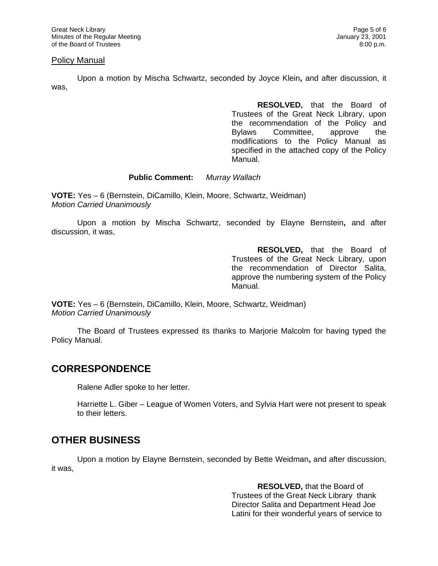#### Policy Manual

Upon a motion by Mischa Schwartz, seconded by Joyce Klein**,** and after discussion, it was,

> **RESOLVED,** that the Board of Trustees of the Great Neck Library, upon the recommendation of the Policy and Bylaws Committee, approve the modifications to the Policy Manual as specified in the attached copy of the Policy Manual.

#### **Public Comment:** *Murray Wallach*

**VOTE:** Yes – 6 (Bernstein, DiCamillo, Klein, Moore, Schwartz, Weidman) *Motion Carried Unanimously*

Upon a motion by Mischa Schwartz, seconded by Elayne Bernstein**,** and after discussion, it was,

> **RESOLVED,** that the Board of Trustees of the Great Neck Library, upon the recommendation of Director Salita, approve the numbering system of the Policy Manual.

**VOTE:** Yes – 6 (Bernstein, DiCamillo, Klein, Moore, Schwartz, Weidman) *Motion Carried Unanimously*

The Board of Trustees expressed its thanks to Marjorie Malcolm for having typed the Policy Manual.

### **CORRESPONDENCE**

Ralene Adler spoke to her letter.

Harriette L. Giber – League of Women Voters, and Sylvia Hart were not present to speak to their letters.

# **OTHER BUSINESS**

Upon a motion by Elayne Bernstein, seconded by Bette Weidman**,** and after discussion, it was,

> **RESOLVED,** that the Board of Trustees of the Great Neck Library thank Director Salita and Department Head Joe Latini for their wonderful years of service to